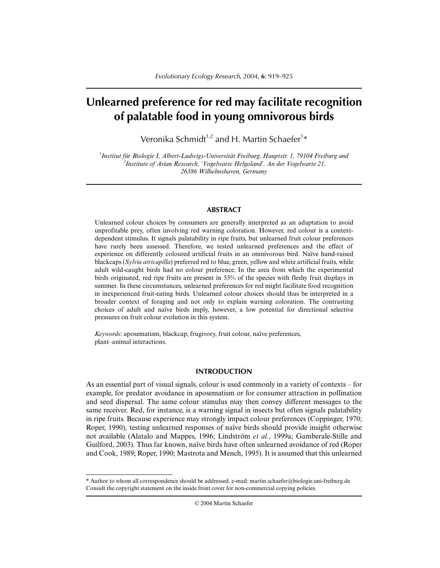# **Unlearned preference for red may facilitate recognition of palatable food in young omnivorous birds**

Veronika Schmidt $^{1,2}$  and H. Martin Schaefer $^{1\ast}$ 

*1 Institut für Biologie I, Albert-Ludwigs-Universität Freiburg, Hauptstr. 1, 79104 Freiburg and 2 Institute of Avian Research, 'Vogelwarte Helgoland', An der Vogelwarte 21, 26386 Wilhelmshaven, Germany*

## **ABSTRACT**

Unlearned colour choices by consumers are generally interpreted as an adaptation to avoid unprofitable prey, often involving red warning coloration. However, red colour is a contextdependent stimulus. It signals palatability in ripe fruits, but unlearned fruit colour preferences have rarely been assessed. Therefore, we tested unlearned preferences and the effect of experience on differently coloured artificial fruits in an omnivorous bird. Naïve hand-raised blackcaps (*Sylvia atricapilla*) preferred red to blue, green, yellow and white artificial fruits, while adult wild-caught birds had no colour preference. In the area from which the experimental birds originated, red ripe fruits are present in 53% of the species with fleshy fruit displays in summer. In these circumstances, unlearned preferences for red might facilitate food recognition in inexperienced fruit-eating birds. Unlearned colour choices should thus be interpreted in a broader context of foraging and not only to explain warning coloration. The contrasting choices of adult and naïve birds imply, however, a low potential for directional selective pressures on fruit colour evolution in this system.

*Keywords*: aposematism, blackcap, frugivory, fruit colour, naïve preferences, plant–animal interactions.

## **INTRODUCTION**

As an essential part of visual signals, colour is used commonly in a variety of contexts – for example, for predator avoidance in aposematism or for consumer attraction in pollination and seed dispersal. The same colour stimulus may then convey different messages to the same receiver. Red, for instance, is a warning signal in insects but often signals palatability in ripe fruits. Because experience may strongly impact colour preferences (Coppinger, 1970; Roper, 1990), testing unlearned responses of naïve birds should provide insight otherwise not available (Alatalo and Mappes, 1996; Lindström *et al.*, 1999a; Gamberale-Stille and Guilford, 2003). Thus far known, naïve birds have often unlearned avoidance of red (Roper and Cook, 1989; Roper, 1990; Mastrota and Mench, 1995). It is assumed that this unlearned

<sup>\*</sup> Author to whom all correspondence should be addressed. e-mail: martin.schaefer@biologie.uni-freiburg.de Consult the copyright statement on the inside front cover for non-commercial copying policies.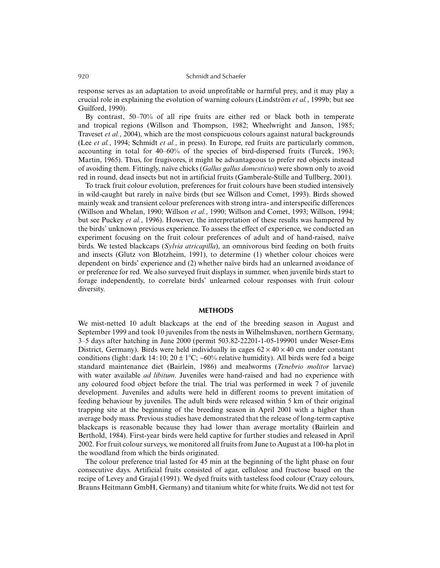## 920 Schmidt and Schaefer

response serves as an adaptation to avoid unprofitable or harmful prey, and it may play a crucial role in explaining the evolution of warning colours (Lindström *et al.*, 1999b; but see Guilford, 1990).

By contrast, 50–70% of all ripe fruits are either red or black both in temperate and tropical regions (Willson and Thompson, 1982; Wheelwright and Janson, 1985; Traveset *et al.*, 2004), which are the most conspicuous colours against natural backgrounds (Lee *et al.*, 1994; Schmidt *et al.*, in press). In Europe, red fruits are particularly common, accounting in total for 40–60% of the species of bird-dispersed fruits (Turcek, 1963; Martin, 1965). Thus, for frugivores, it might be advantageous to prefer red objects instead of avoiding them. Fittingly, naïve chicks (*Gallus gallus domesticus*) were shown only to avoid red in round, dead insects but not in artificial fruits (Gamberale-Stille and Tullberg, 2001).

To track fruit colour evolution, preferences for fruit colours have been studied intensively in wild-caught but rarely in naïve birds (but see Willson and Comet, 1993). Birds showed mainly weak and transient colour preferences with strong intra- and interspecific differences (Willson and Whelan, 1990; Willson *et al.*, 1990; Willson and Comet, 1993; Willson, 1994; but see Puckey *et al.*, 1996). However, the interpretation of these results was hampered by the birds' unknown previous experience. To assess the effect of experience, we conducted an experiment focusing on the fruit colour preferences of adult and of hand-raised, naïve birds. We tested blackcaps (*Sylvia atricapilla*), an omnivorous bird feeding on both fruits and insects (Glutz von Blotzheim, 1991), to determine (1) whether colour choices were dependent on birds' experience and (2) whether naïve birds had an unlearned avoidance of or preference for red. We also surveyed fruit displays in summer, when juvenile birds start to forage independently, to correlate birds' unlearned colour responses with fruit colour diversity.

## **METHODS**

We mist-netted 10 adult blackcaps at the end of the breeding season in August and September 1999 and took 10 juveniles from the nests in Wilhelmshaven, northern Germany, 3–5 days after hatching in June 2000 (permit 503.82-22201-1-05-199901 under Weser-Ems District, Germany). Birds were held individually in cages  $62 \times 40 \times 40$  cm under constant conditions (light : dark 14 : 10; 20 ± 1°C; ~60% relative humidity). All birds were fed a beige standard maintenance diet (Bairlein, 1986) and mealworms (*Tenebrio molitor* larvae) with water available *ad libitum*. Juveniles were hand-raised and had no experience with any coloured food object before the trial. The trial was performed in week 7 of juvenile development. Juveniles and adults were held in different rooms to prevent imitation of feeding behaviour by juveniles. The adult birds were released within 5 km of their original trapping site at the beginning of the breeding season in April 2001 with a higher than average body mass. Previous studies have demonstrated that the release of long-term captive blackcaps is reasonable because they had lower than average mortality (Bairlein and Berthold, 1984). First-year birds were held captive for further studies and released in April 2002. For fruit colour surveys, we monitored all fruits from June to August at a 100-ha plot in the woodland from which the birds originated.

The colour preference trial lasted for 45 min at the beginning of the light phase on four consecutive days. Artificial fruits consisted of agar, cellulose and fructose based on the recipe of Levey and Grajal (1991). We dyed fruits with tasteless food colour (Crazy colours, Brauns Heitmann GmbH, Germany) and titanium white for white fruits. We did not test for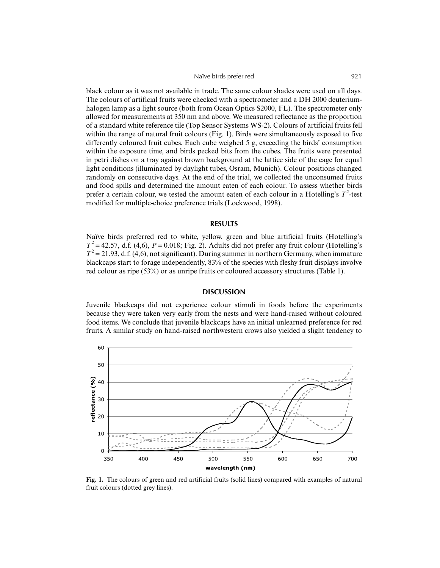#### Naïve birds prefer red 921

black colour as it was not available in trade. The same colour shades were used on all days. The colours of artificial fruits were checked with a spectrometer and a DH 2000 deuteriumhalogen lamp as a light source (both from Ocean Optics S2000, FL). The spectrometer only allowed for measurements at 350 nm and above. We measured reflectance as the proportion of a standard white reference tile (Top Sensor Systems WS-2). Colours of artificial fruits fell within the range of natural fruit colours (Fig. 1). Birds were simultaneously exposed to five differently coloured fruit cubes. Each cube weighed 5 g, exceeding the birds' consumption within the exposure time, and birds pecked bits from the cubes. The fruits were presented in petri dishes on a tray against brown background at the lattice side of the cage for equal light conditions (illuminated by daylight tubes, Osram, Munich). Colour positions changed randomly on consecutive days. At the end of the trial, we collected the unconsumed fruits and food spills and determined the amount eaten of each colour. To assess whether birds prefer a certain colour, we tested the amount eaten of each colour in a Hotelling's  $T^2$ -test modified for multiple-choice preference trials (Lockwood, 1998).

## **RESULTS**

Naïve birds preferred red to white, yellow, green and blue artificial fruits (Hotelling's  $T^2 = 42.57$ , d.f. (4,6),  $P = 0.018$ ; Fig. 2). Adults did not prefer any fruit colour (Hotelling's  $T^2 = 21.93$ , d.f. (4,6), not significant). During summer in northern Germany, when immature blackcaps start to forage independently, 83% of the species with fleshy fruit displays involve red colour as ripe (53%) or as unripe fruits or coloured accessory structures (Table 1).

## **DISCUSSION**

Juvenile blackcaps did not experience colour stimuli in foods before the experiments because they were taken very early from the nests and were hand-raised without coloured food items. We conclude that juvenile blackcaps have an initial unlearned preference for red fruits. A similar study on hand-raised northwestern crows also yielded a slight tendency to



**Fig. 1.** The colours of green and red artificial fruits (solid lines) compared with examples of natural fruit colours (dotted grey lines).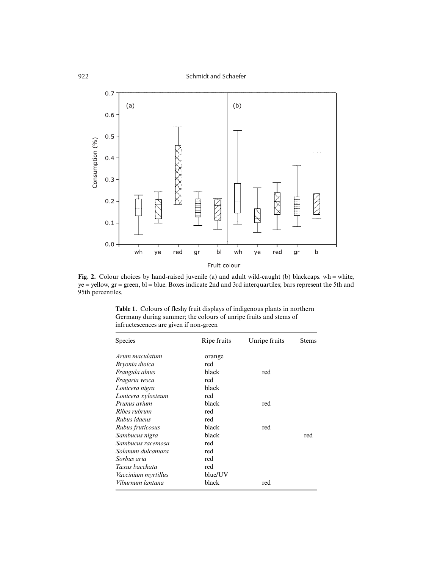

Fig. 2. Colour choices by hand-raised juvenile (a) and adult wild-caught (b) blackcaps. wh = white, ye = yellow, gr = green, bl = blue. Boxes indicate 2nd and 3rd interquartiles; bars represent the 5th and 95th percentiles.

| <b>Species</b>      | Ripe fruits | Unripe fruits | <b>Stems</b> |
|---------------------|-------------|---------------|--------------|
| Arum maculatum      | orange      |               |              |
| Bryonia dioica      | red         |               |              |
| Frangula alnus      | black       | red           |              |
| Fragaria vesca      | red         |               |              |
| Lonicera nigra      | black       |               |              |
| Lonicera xylosteum  | red         |               |              |
| Prunus avium        | black       | red           |              |
| Ribes rubrum        | red         |               |              |
| Rubus idaeus        | red         |               |              |
| Rubus fruticosus    | black       | red           |              |
| Sambucus nigra      | black       |               | red          |
| Sambucus racemosa   | red         |               |              |
| Solanum dulcamara   | red         |               |              |
| Sorbus aria         | red         |               |              |
| Taxus bacchata      | red         |               |              |
| Vaccinium myrtillus | blue/UV     |               |              |
| Viburnum lantana    | black       | red           |              |

**Table 1.** Colours of fleshy fruit displays of indigenous plants in northern Germany during summer; the colours of unripe fruits and stems of infructescences are given if non-green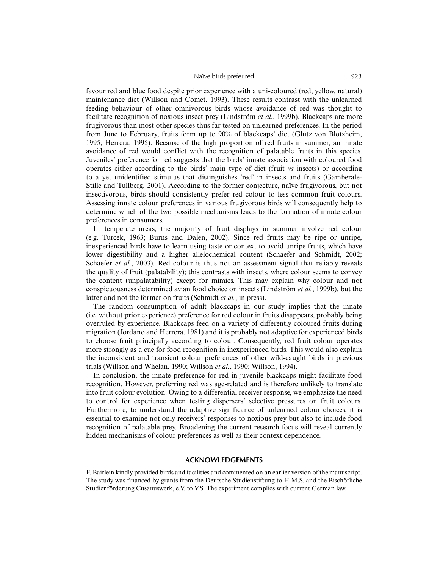## Naïve birds prefer red 923

favour red and blue food despite prior experience with a uni-coloured (red, yellow, natural) maintenance diet (Willson and Comet, 1993). These results contrast with the unlearned feeding behaviour of other omnivorous birds whose avoidance of red was thought to facilitate recognition of noxious insect prey (Lindström *et al.*, 1999b). Blackcaps are more frugivorous than most other species thus far tested on unlearned preferences. In the period from June to February, fruits form up to 90% of blackcaps' diet (Glutz von Blotzheim, 1995; Herrera, 1995). Because of the high proportion of red fruits in summer, an innate avoidance of red would conflict with the recognition of palatable fruits in this species. Juveniles' preference for red suggests that the birds' innate association with coloured food operates either according to the birds' main type of diet (fruit *vs* insects) or according to a yet unidentified stimulus that distinguishes 'red' in insects and fruits (Gamberale-Stille and Tullberg, 2001). According to the former conjecture, naïve frugivorous, but not insectivorous, birds should consistently prefer red colour to less common fruit colours. Assessing innate colour preferences in various frugivorous birds will consequently help to determine which of the two possible mechanisms leads to the formation of innate colour preferences in consumers.

In temperate areas, the majority of fruit displays in summer involve red colour (e.g. Turcek, 1963; Burns and Dalen, 2002). Since red fruits may be ripe or unripe, inexperienced birds have to learn using taste or context to avoid unripe fruits, which have lower digestibility and a higher allelochemical content (Schaefer and Schmidt, 2002; Schaefer *et al.*, 2003). Red colour is thus not an assessment signal that reliably reveals the quality of fruit (palatability); this contrasts with insects, where colour seems to convey the content (unpalatability) except for mimics. This may explain why colour and not conspicuousness determined avian food choice on insects (Lindström *et al.*, 1999b), but the latter and not the former on fruits (Schmidt *et al.*, in press).

The random consumption of adult blackcaps in our study implies that the innate (i.e. without prior experience) preference for red colour in fruits disappears, probably being overruled by experience. Blackcaps feed on a variety of differently coloured fruits during migration (Jordano and Herrera, 1981) and it is probably not adaptive for experienced birds to choose fruit principally according to colour. Consequently, red fruit colour operates more strongly as a cue for food recognition in inexperienced birds. This would also explain the inconsistent and transient colour preferences of other wild-caught birds in previous trials (Willson and Whelan, 1990; Willson *et al.*, 1990; Willson, 1994).

In conclusion, the innate preference for red in juvenile blackcaps might facilitate food recognition. However, preferring red was age-related and is therefore unlikely to translate into fruit colour evolution. Owing to a differential receiver response, we emphasize the need to control for experience when testing dispersers' selective pressures on fruit colours. Furthermore, to understand the adaptive significance of unlearned colour choices, it is essential to examine not only receivers' responses to noxious prey but also to include food recognition of palatable prey. Broadening the current research focus will reveal currently hidden mechanisms of colour preferences as well as their context dependence.

#### **ACKNOWLEDGEMENTS**

F. Bairlein kindly provided birds and facilities and commented on an earlier version of the manuscript. The study was financed by grants from the Deutsche Studienstiftung to H.M.S. and the Bischöfliche Studienförderung Cusanuswerk, e.V. to V.S. The experiment complies with current German law.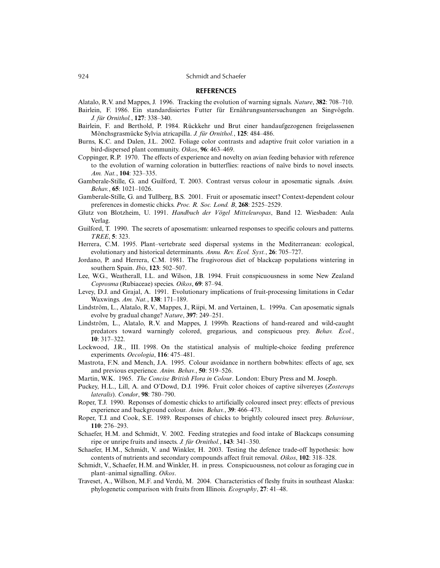#### **REFERENCES**

Alatalo, R.V. and Mappes, J. 1996. Tracking the evolution of warning signals. *Nature*, **382**: 708–710.

- Bairlein, F. 1986. Ein standardisiertes Futter für Ernährungsuntersuchungen an Singvögeln. *J. für Ornithol.*, **127**: 338–340.
- Bairlein, F. and Berthold, P. 1984. Rückkehr und Brut einer handaufgezogenen freigelassenen Mönchsgrasmücke Sylvia atricapilla. *J. für Ornithol.*, **125**: 484–486.
- Burns, K.C. and Dalen, J.L. 2002. Foliage color contrasts and adaptive fruit color variation in a bird-dispersed plant community. *Oikos*, **96**: 463–469.
- Coppinger, R.P. 1970. The effects of experience and novelty on avian feeding behavior with reference to the evolution of warning coloration in butterflies: reactions of naïve birds to novel insects. *Am. Nat.*, **104**: 323–335.
- Gamberale-Stille, G. and Guilford, T. 2003. Contrast versus colour in aposematic signals. *Anim. Behav.*, **65**: 1021–1026.
- Gamberale-Stille, G. and Tullberg, B.S. 2001. Fruit or aposematic insect? Context-dependent colour preferences in domestic chicks. *Proc. R. Soc. Lond. B*, **268**: 2525–2529.
- Glutz von Blotzheim, U. 1991. *Handbuch der Vögel Mitteleuropas*, Band 12. Wiesbaden: Aula Verlag.
- Guilford, T. 1990. The secrets of aposematism: unlearned responses to specific colours and patterns. *TREE*, **5**: 323.
- Herrera, C.M. 1995. Plant–vertebrate seed dispersal systems in the Mediterranean: ecological, evolutionary and historical determinants. *Annu. Rev. Ecol. Syst.*, **26**: 705–727.
- Jordano, P. and Herrera, C.M. 1981. The frugivorous diet of blackcap populations wintering in southern Spain. *Ibis*, **123**: 502–507.
- Lee, W.G., Weatherall, I.L. and Wilson, J.B. 1994. Fruit conspicuousness in some New Zealand *Coprosma* (Rubiaceae) species. *Oikos*, **69**: 87–94.
- Levey, D.J. and Grajal, A. 1991. Evolutionary implications of fruit-processing limitations in Cedar Waxwings. *Am. Nat.*, **138**: 171–189.
- Lindström, L., Alatalo, R.V., Mappes, J., Riipi, M. and Vertainen, L. 1999a. Can aposematic signals evolve by gradual change? *Nature*, **397**: 249–251.
- Lindström, L., Alatalo, R.V. and Mappes, J. 1999b. Reactions of hand-reared and wild-caught predators toward warningly colored, gregarious, and conspicuous prey. *Behav. Ecol.*, **10**: 317–322.
- Lockwood, J.R., III. 1998. On the statistical analysis of multiple-choice feeding preference experiments. *Oecologia*, **116**: 475–481.
- Mastrota, F.N. and Mench, J.A. 1995. Colour avoidance in northern bobwhites: effects of age, sex and previous experience. *Anim. Behav.*, **50**: 519–526.
- Martin, W.K. 1965. *The Concise British Flora in Colour*. London: Ebury Press and M. Joseph.
- Puckey, H.L., Lill, A. and O'Dowd, D.J. 1996. Fruit color choices of captive silvereyes (*Zosterops lateralis*). *Condor*, **98**: 780–790.
- Roper, T.J. 1990. Reponses of domestic chicks to artificially coloured insect prey: effects of previous experience and background colour. *Anim. Behav.*, **39**: 466–473.
- Roper, T.J. and Cook, S.E. 1989. Responses of chicks to brightly coloured insect prey. *Behaviour*, **110**: 276–293.
- Schaefer, H.M. and Schmidt, V. 2002. Feeding strategies and food intake of Blackcaps consuming ripe or unripe fruits and insects. *J. für Ornithol.*, **143**: 341–350.
- Schaefer, H.M., Schmidt, V. and Winkler, H. 2003. Testing the defence trade-off hypothesis: how contents of nutrients and secondary compounds affect fruit removal. *Oikos*, **102**: 318–328.
- Schmidt, V., Schaefer, H.M. and Winkler, H. in press. Conspicuousness, not colour as foraging cue in plant–animal signalling. *Oikos*.
- Traveset, A., Willson, M.F. and Verdú, M. 2004. Characteristics of fleshy fruits in southeast Alaska: phylogenetic comparison with fruits from Illinois. *Ecography*, **27**: 41–48.